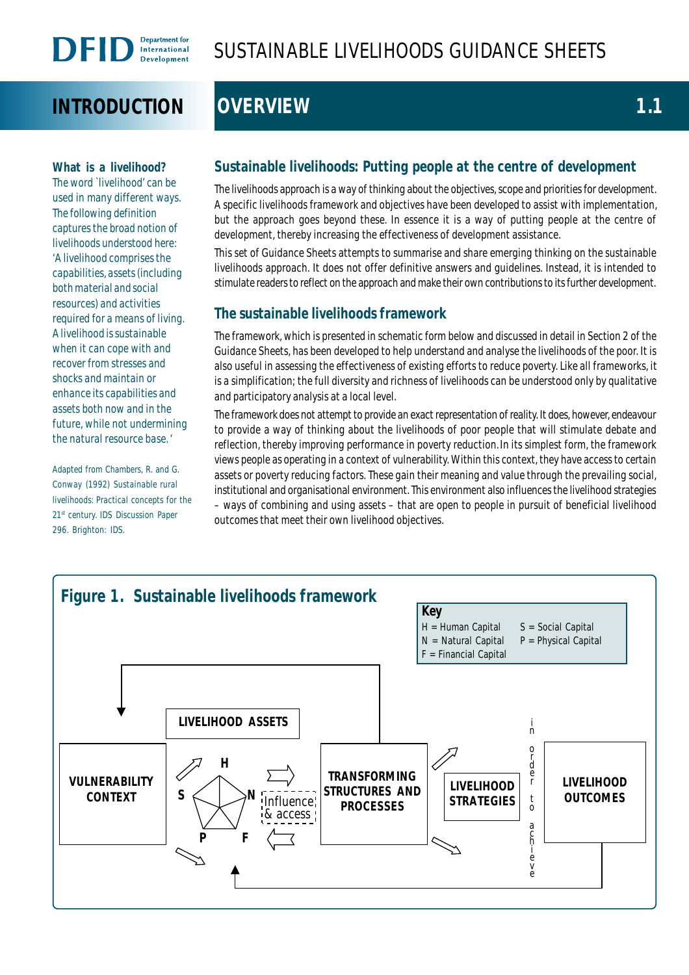# **INTRODUCTION OVERVIEW 1.1**

**What is a livelihood?** The word `livelihood' can be used in many different ways. The following definition captures the broad notion of livelihoods understood here: *'A livelihood comprises the capabilities, assets (including both material and social resources) and activities required for a means of living. A livelihood is sustainable when it can cope with and recover from stresses and shocks and maintain or enhance its capabilities and assets both now and in the future, while not undermining the natural resource base*. '

Adapted from Chambers, R. and G. Conway (1992) *Sustainable rural livelihoods: Practical concepts for the 21st century.* IDS Discussion Paper 296. Brighton: IDS.

# **Sustainable livelihoods: Putting people at the centre of development**

The livelihoods approach is a way of thinking about the objectives, scope and priorities for development. A specific livelihoods framework and objectives have been developed to assist with implementation, but the approach goes beyond these. In essence it is a way of putting people at the centre of development, thereby increasing the effectiveness of development assistance.

This set of Guidance Sheets attempts to summarise and share emerging thinking on the sustainable livelihoods approach. It does not offer definitive answers and guidelines. Instead, it is intended to stimulate readers to reflect on the approach and make their own contributions to its further development.

# **The sustainable livelihoods framework**

The framework, which is presented in schematic form below and discussed in detail in Section 2 of the Guidance Sheets, has been developed to help understand and analyse the livelihoods of the poor. It is also useful in assessing the effectiveness of existing efforts to reduce poverty. Like all frameworks, it is a simplification; the full diversity and richness of livelihoods can be understood only by qualitative and participatory analysis at a local level.

The framework does not attempt to provide an exact representation of reality. It does, however, endeavour to provide a way of thinking about the livelihoods of poor people that will stimulate debate and reflection, thereby improving performance in poverty reduction.In its simplest form, the framework views people as operating in a context of vulnerability. Within this context, they have access to certain assets or poverty reducing factors. These gain their meaning and value through the prevailing social, institutional and organisational environment. This environment also influences the livelihood strategies – ways of combining and using assets – that are open to people in pursuit of beneficial livelihood outcomes that meet their own livelihood objectives.

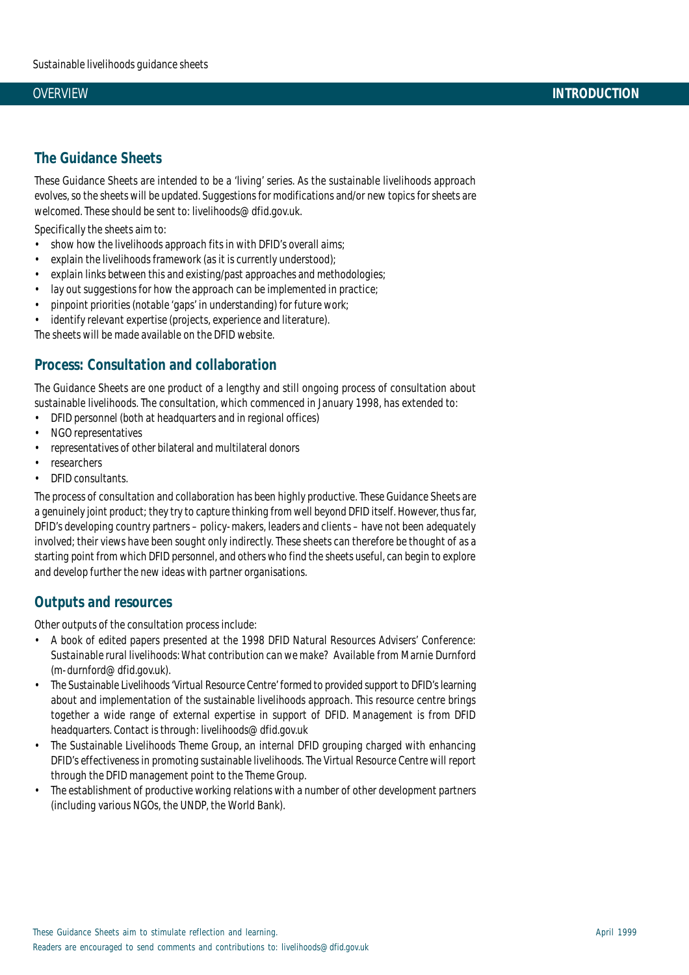### **The Guidance Sheets**

These Guidance Sheets are intended to be a 'living' series. As the sustainable livelihoods approach evolves, so the sheets will be updated. Suggestions for modifications and/or new topics for sheets are welcomed. These should be sent to: livelihoods@dfid.gov.uk.

Specifically the sheets aim to:

- show how the livelihoods approach fits in with DFID's overall aims;
- explain the livelihoods framework (as it is currently understood);
- explain links between this and existing/past approaches and methodologies;
- lay out suggestions for how the approach can be implemented in practice;
- pinpoint priorities (notable 'gaps' in understanding) for future work;
- identify relevant expertise (projects, experience and literature).

The sheets will be made available on the DFID website.

### **Process: Consultation and collaboration**

The Guidance Sheets are one product of a lengthy and still ongoing process of consultation about sustainable livelihoods. The consultation, which commenced in January 1998, has extended to:

- DFID personnel (both at headquarters and in regional offices)
- NGO representatives
- representatives of other bilateral and multilateral donors
- researchers
- DFID consultants.

The process of consultation and collaboration has been highly productive. These Guidance Sheets are a genuinely joint product; they try to capture thinking from well beyond DFID itself. However, thus far, DFID's developing country partners – policy-makers, leaders and clients – have not been adequately involved; their views have been sought only indirectly. These sheets can therefore be thought of as a starting point from which DFID personnel, and others who find the sheets useful, can begin to explore and develop further the new ideas with partner organisations.

### **Outputs and resources**

Other outputs of the consultation process include:

- A book of edited papers presented at the 1998 DFID Natural Resources Advisers' Conference: *Sustainable rural livelihoods: What contribution can we make?* Available from Marnie Durnford (m-durnford@dfid.gov.uk).
- The Sustainable Livelihoods 'Virtual Resource Centre' formed to provided support to DFID's learning about and implementation of the sustainable livelihoods approach. This resource centre brings together a wide range of external expertise in support of DFID. Management is from DFID headquarters. Contact is through: livelihoods@dfid.gov.uk
- The Sustainable Livelihoods Theme Group, an internal DFID grouping charged with enhancing DFID's effectiveness in promoting sustainable livelihoods. The Virtual Resource Centre will report through the DFID management point to the Theme Group.
- The establishment of productive working relations with a number of other development partners (including various NGOs, the UNDP, the World Bank).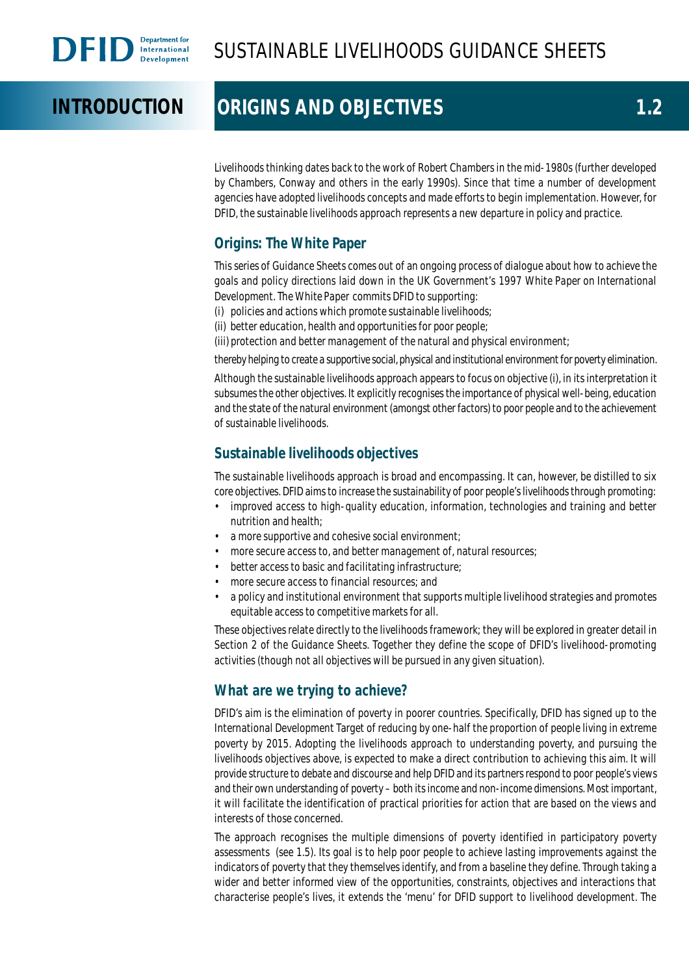# **INTRODUCTION ORIGINS AND OBJECTIVES 1.2**

Livelihoods thinking dates back to the work of Robert Chambers in the mid-1980s (further developed by Chambers, Conway and others in the early 1990s). Since that time a number of development agencies have adopted livelihoods concepts and made efforts to begin implementation. However, for DFID, the sustainable livelihoods approach represents a new departure in policy and practice.

# **Origins: The White Paper**

This series of Guidance Sheets comes out of an ongoing process of dialogue about how to achieve the goals and policy directions laid down in the UK Government's 1997 *White Paper on International Development*. The *White Paper* commits DFID to supporting:

- (i) policies and actions which promote sustainable livelihoods;
- (ii) better education, health and opportunities for poor people;

(iii) protection and better management of the natural and physical environment;

thereby helping to create a supportive social, physical and institutional environment for poverty elimination.

Although the sustainable livelihoods approach appears to focus on objective (i), in its interpretation it subsumes the other objectives. It explicitly recognises the importance of physical well-being, education and the state of the natural environment (amongst other factors) to poor people and to the achievement of sustainable livelihoods.

# **Sustainable livelihoods objectives**

The sustainable livelihoods approach is broad and encompassing. It can, however, be distilled to six core objectives. DFID aims to increase the sustainability of poor people's livelihoods through promoting:

- improved access to high-quality education, information, technologies and training and better nutrition and health;
- a more supportive and cohesive social environment;
- more secure access to, and better management of, natural resources;
- better access to basic and facilitating infrastructure;
- more secure access to financial resources; and
- a policy and institutional environment that supports multiple livelihood strategies and promotes equitable access to competitive markets for all.

These objectives relate directly to the livelihoods framework; they will be explored in greater detail in Section 2 of the Guidance Sheets. Together they define the scope of DFID's livelihood-promoting activities (though not all objectives will be pursued in any given situation).

## **What are we trying to achieve?**

DFID's aim is the elimination of poverty in poorer countries. Specifically, DFID has signed up to the International Development Target of reducing by one-half the proportion of people living in extreme poverty by 2015. Adopting the livelihoods approach to understanding poverty, and pursuing the livelihoods objectives above, is expected to make a direct contribution to achieving this aim. It will provide structure to debate and discourse and help DFID and its partners respond to poor people's views and their own understanding of poverty – both its income and non-income dimensions. Most important, it will facilitate the identification of practical priorities for action that are based on the views and interests of those concerned.

The approach recognises the multiple dimensions of poverty identified in participatory poverty assessments (see 1.5). Its goal is to help poor people to achieve lasting improvements against the indicators of poverty that they themselves identify, and from a baseline they define. Through taking a wider and better informed view of the opportunities, constraints, objectives and interactions that characterise people's lives, it extends the 'menu' for DFID support to livelihood development. The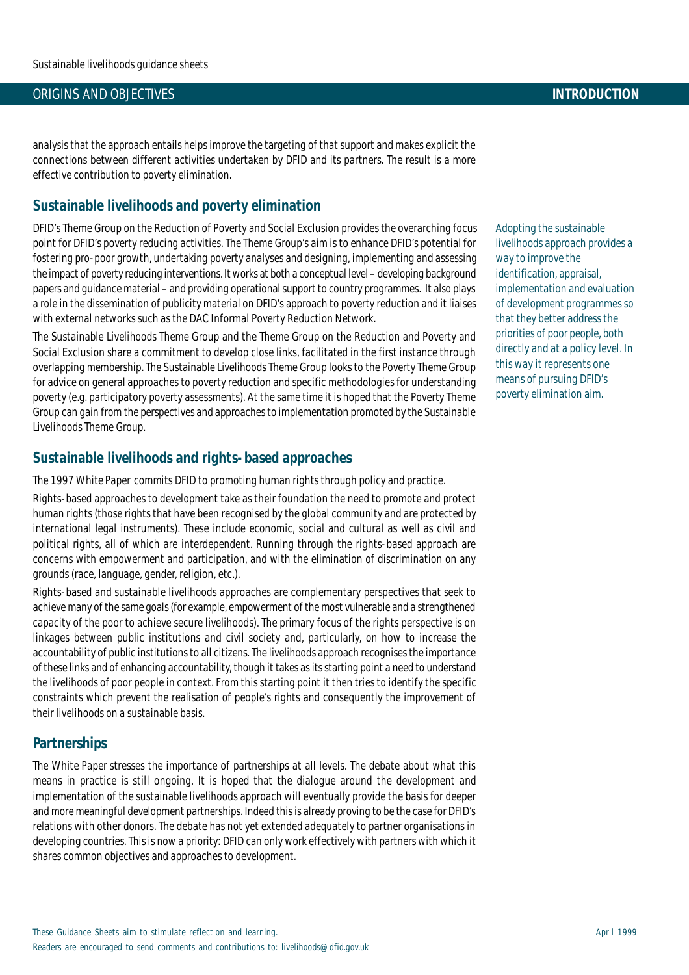#### ORIGINS AND OBJECTIVES **INTRODUCTION**

analysis that the approach entails helps improve the targeting of that support and makes explicit the connections between different activities undertaken by DFID and its partners. The result is a more effective contribution to poverty elimination.

### **Sustainable livelihoods and poverty elimination**

DFID's Theme Group on the Reduction of Poverty and Social Exclusion provides the overarching focus point for DFID's poverty reducing activities. The Theme Group's aim is to enhance DFID's potential for fostering pro-poor growth, undertaking poverty analyses and designing, implementing and assessing the impact of poverty reducing interventions. It works at both a conceptual level – developing background papers and guidance material – and providing operational support to country programmes. It also plays a role in the dissemination of publicity material on DFID's approach to poverty reduction and it liaises with external networks such as the DAC Informal Poverty Reduction Network.

The Sustainable Livelihoods Theme Group and the Theme Group on the Reduction and Poverty and Social Exclusion share a commitment to develop close links, facilitated in the first instance through overlapping membership. The Sustainable Livelihoods Theme Group looks to the Poverty Theme Group for advice on general approaches to poverty reduction and specific methodologies for understanding poverty (e.g. participatory poverty assessments). At the same time it is hoped that the Poverty Theme Group can gain from the perspectives and approaches to implementation promoted by the Sustainable Livelihoods Theme Group.

### **Sustainable livelihoods and rights-based approaches**

The 1997 *White Paper* commits DFID to promoting human rights through policy and practice.

Rights-based approaches to development take as their foundation the need to promote and protect human rights (those rights that have been recognised by the global community and are protected by international legal instruments). These include economic, social and cultural as well as civil and political rights, all of which are interdependent. Running through the rights-based approach are concerns with empowerment and participation, and with the elimination of discrimination on any grounds (race, language, gender, religion, etc.).

Rights-based and sustainable livelihoods approaches are complementary perspectives that seek to achieve many of the same goals (for example, empowerment of the most vulnerable and a strengthened capacity of the poor to achieve secure livelihoods). The primary focus of the rights perspective is on linkages between public institutions and civil society and, particularly, on how to increase the accountability of public institutions to all citizens. The livelihoods approach recognises the importance of these links and of enhancing accountability, though it takes as its starting point a need to understand the livelihoods of poor people in context. From this starting point it then tries to identify the specific constraints which prevent the realisation of people's rights and consequently the improvement of their livelihoods on a sustainable basis.

### **Partnerships**

The *White Paper* stresses the importance of partnerships at all levels. The debate about what this means in practice is still ongoing. It is hoped that the dialogue around the development and implementation of the sustainable livelihoods approach will eventually provide the basis for deeper and more meaningful development partnerships. Indeed this is already proving to be the case for DFID's relations with other donors. The debate has not yet extended adequately to partner organisations in developing countries. This is now a priority: DFID can only work effectively with partners with which it shares common objectives and approaches to development.

Adopting the sustainable livelihoods approach provides a way to improve the identification, appraisal, implementation and evaluation of development programmes so that they better address the priorities of poor people, both directly and at a policy level. In this way it represents one means of pursuing DFID's poverty elimination aim.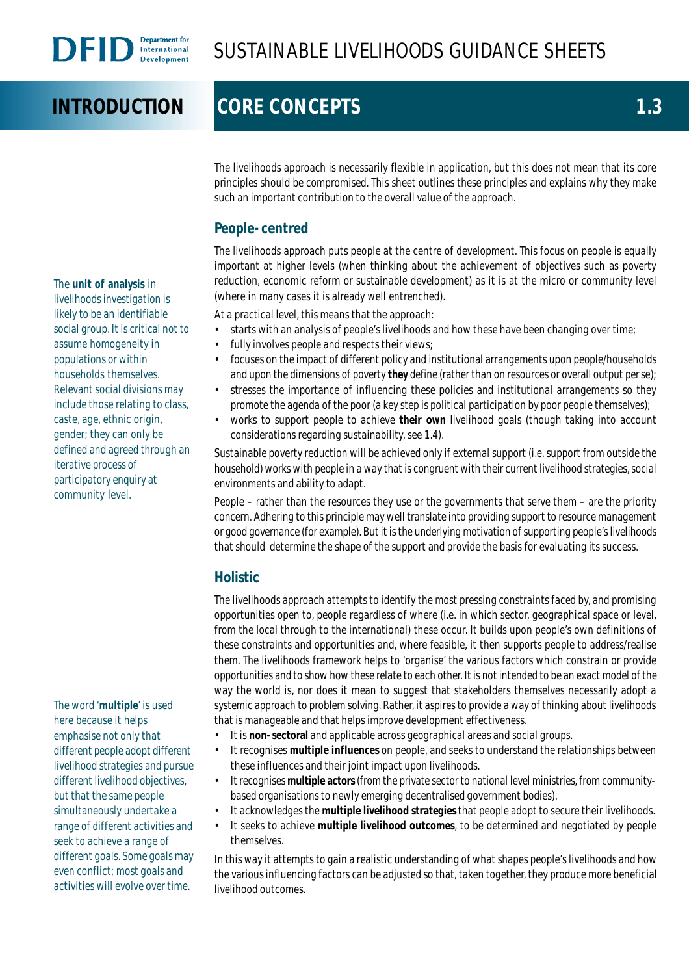# **INTRODUCTION CORE CONCEPTS 1.3**

The livelihoods approach is necessarily flexible in application, but this does not mean that its core principles should be compromised. This sheet outlines these principles and explains why they make such an important contribution to the overall value of the approach.

## **People-centred**

The livelihoods approach puts people at the centre of development. This focus on people is equally important at higher levels (when thinking about the achievement of objectives such as poverty reduction, economic reform or sustainable development) as it is at the micro or community level (where in many cases it is already well entrenched).

At a practical level, this means that the approach:

- starts with an analysis of people's livelihoods and how these have been changing over time;
- fully involves people and respects their views;
- focuses on the impact of different policy and institutional arrangements upon people/households and upon the dimensions of poverty **they** define (rather than on resources or overall output *per se*);
- stresses the importance of influencing these policies and institutional arrangements so they promote the agenda of the poor (a key step is political participation by poor people themselves);
- works to support people to achieve **their own** livelihood goals (though taking into account considerations regarding sustainability, see 1.4).

Sustainable poverty reduction will be achieved only if external support (i.e. support from outside the household) works with people in a way that is congruent with their current livelihood strategies, social environments and ability to adapt.

People – rather than the resources they use or the governments that serve them – are the priority concern. Adhering to this principle may well translate into providing support to resource management or good governance (for example). But it is the underlying motivation of supporting people's livelihoods that should determine the shape of the support and provide the basis for evaluating its success.

# **Holistic**

The livelihoods approach attempts to identify the most pressing constraints faced by, and promising opportunities open to, people regardless of where (i.e. in which sector, geographical space or level, from the local through to the international) these occur. It builds upon people's own definitions of these constraints and opportunities and, where feasible, it then supports people to address/realise them. The livelihoods framework helps to 'organise' the various factors which constrain or provide opportunities and to show how these relate to each other. It is not intended to be an exact model of the way the world is, nor does it mean to suggest that stakeholders themselves necessarily adopt a systemic approach to problem solving. Rather, it aspires to provide a way of thinking about livelihoods that is manageable and that helps improve development effectiveness.

- It is **non-sectoral** and applicable across geographical areas and social groups.
- It recognises **multiple influences** on people, and seeks to understand the relationships between these influences and their joint impact upon livelihoods.
- It recognises **multiple actors** (from the private sector to national level ministries, from communitybased organisations to newly emerging decentralised government bodies).
- It acknowledges the **multiple livelihood strategies** that people adopt to secure their livelihoods.
- It seeks to achieve **multiple livelihood outcomes**, to be determined and negotiated by people themselves.

In this way it attempts to gain a realistic understanding of what shapes people's livelihoods and how the various influencing factors can be adjusted so that, taken together, they produce more beneficial livelihood outcomes.

The **unit of analysis** in livelihoods investigation is likely to be an identifiable social group. It is critical not to assume homogeneity in populations or within households themselves. Relevant social divisions may include those relating to class, caste, age, ethnic origin, gender; they can only be defined and agreed through an iterative process of participatory enquiry at community level.

The word '**multiple**' is used here because it helps emphasise not only that different people adopt different livelihood strategies and pursue different livelihood objectives, but that the same people simultaneously undertake a range of different activities and seek to achieve a range of different goals. Some goals may even conflict; most goals and activities will evolve over time.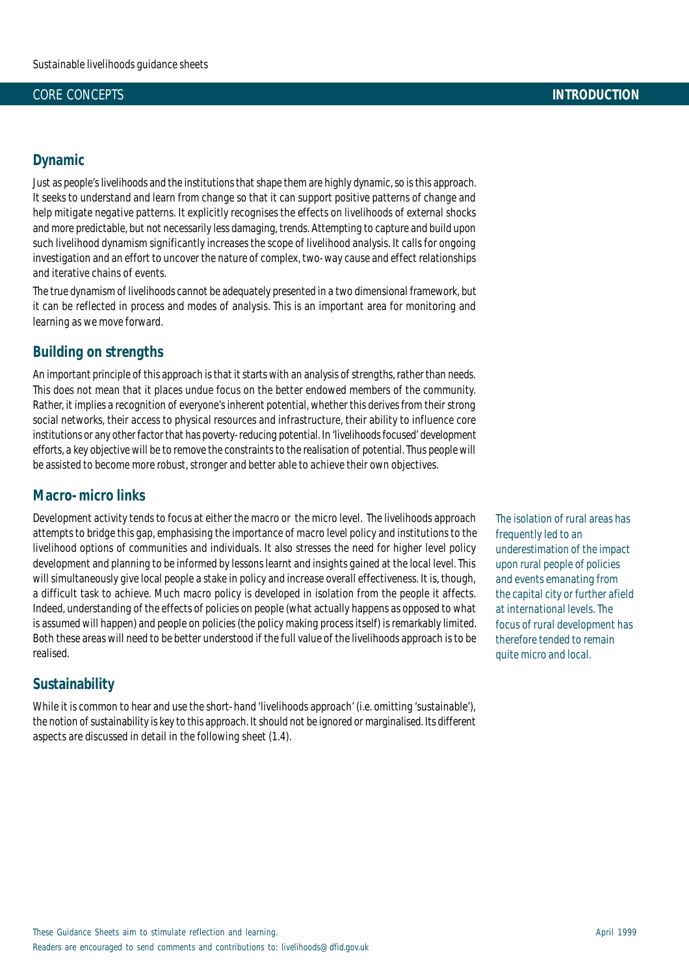#### CORE CONCEPTS **INTRODUCTION**

#### **Dynamic**

Just as people's livelihoods and the institutions that shape them are highly dynamic, so is this approach. It seeks to understand and learn from change so that it can support positive patterns of change and help mitigate negative patterns. It explicitly recognises the effects on livelihoods of external shocks and more predictable, but not necessarily less damaging, trends. Attempting to capture and build upon such livelihood dynamism significantly increases the scope of livelihood analysis. It calls for ongoing investigation and an effort to uncover the nature of complex, two-way cause and effect relationships and iterative chains of events.

The true dynamism of livelihoods cannot be adequately presented in a two dimensional framework, but it can be reflected in process and modes of analysis. This is an important area for monitoring and learning as we move forward.

### **Building on strengths**

An important principle of this approach is that it starts with an analysis of strengths, rather than needs. This does not mean that it places undue focus on the better endowed members of the community. Rather, it implies a recognition of everyone's inherent potential, whether this derives from their strong social networks, their access to physical resources and infrastructure, their ability to influence core institutions or any other factor that has poverty-reducing potential. In 'livelihoods focused' development efforts, a key objective will be to remove the constraints to the realisation of potential. Thus people will be assisted to become more robust, stronger and better able to achieve their own objectives.

### **Macro-micro links**

Development activity tends to focus at *either* the macro *or* the micro level. The livelihoods approach attempts to bridge this gap, emphasising the importance of macro level policy and institutions to the livelihood options of communities and individuals. It also stresses the need for higher level policy development and planning to be informed by lessons learnt and insights gained at the local level. This will simultaneously give local people a stake in policy and increase overall effectiveness. It is, though, a difficult task to achieve. Much macro policy is developed in isolation from the people it affects. Indeed, understanding of the effects of policies on people (what actually happens as opposed to what is assumed will happen) and people on policies (the policy making process itself) is remarkably limited. Both these areas will need to be better understood if the full value of the livelihoods approach is to be realised.

## **Sustainability**

While it is common to hear and use the short-hand 'livelihoods approach' (i.e. omitting 'sustainable'), the notion of sustainability is key to this approach. It should not be ignored or marginalised. Its different aspects are discussed in detail in the following sheet (1.4).

The isolation of rural areas has frequently led to an underestimation of the impact upon rural people of policies and events emanating from the capital city or further afield at international levels. The focus of rural development has therefore tended to remain quite micro and local.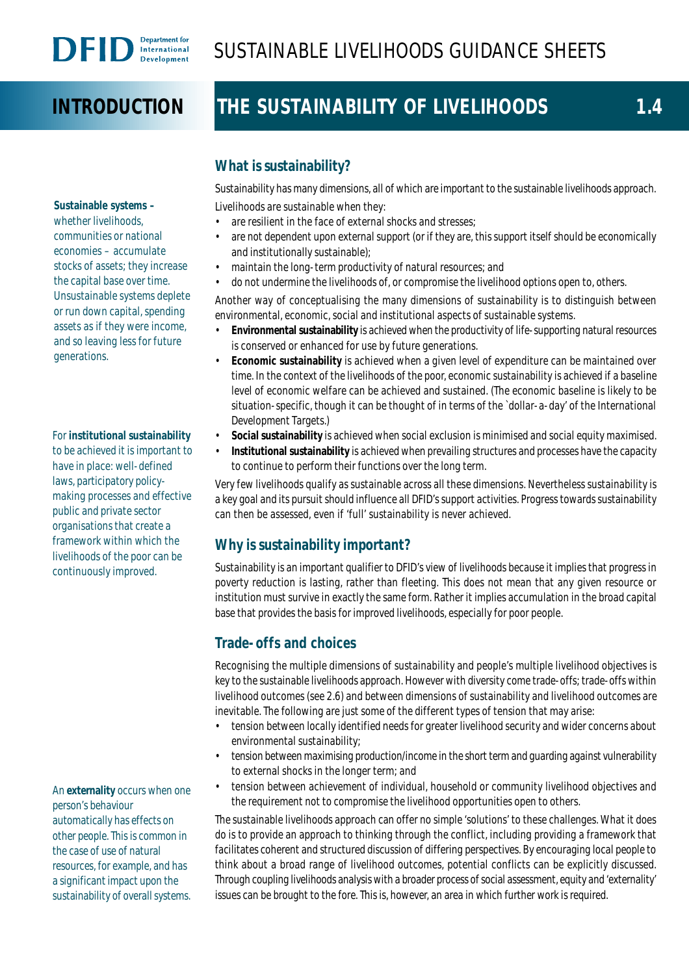# **INTRODUCTION**

# THE SUSTAINABILITY OF LIVELIHOODS 1.4

**Sustainable systems –** whether livelihoods, communities or national economies – accumulate stocks of assets; they increase the capital base over time. Unsustainable systems deplete or run down capital, spending assets as if they were income, and so leaving less for future generations.

#### For **institutional sustainability** to be achieved it is important to have in place: well-defined laws, participatory policymaking processes and effective public and private sector organisations that create a framework within which the livelihoods of the poor can be continuously improved.

An **externality** occurs when one person's behaviour automatically has effects on other people. This is common in the case of use of natural resources, for example, and has a significant impact upon the sustainability of overall systems.

# **What is sustainability?**

Sustainability has many dimensions, all of which are important to the sustainable livelihoods approach. Livelihoods are sustainable when they:

- are resilient in the face of external shocks and stresses;
- are not dependent upon external support (or if they are, this support itself should be economically and institutionally sustainable);
- maintain the long-term productivity of natural resources; and
- do not undermine the livelihoods of, or compromise the livelihood options open to, others.

Another way of conceptualising the many dimensions of sustainability is to distinguish between environmental, economic, social and institutional aspects of sustainable systems.

- **Environmental sustainability** is achieved when the productivity of life-supporting natural resources is conserved or enhanced for use by future generations.
- **Economic sustainability** is achieved when a given level of expenditure can be maintained over time. In the context of the livelihoods of the poor, economic sustainability is achieved if a baseline level of economic welfare can be achieved and sustained. (The economic baseline is likely to be situation-specific, though it can be thought of in terms of the `dollar-a-day' of the International Development Targets.)
- **Social sustainability** is achieved when social exclusion is minimised and social equity maximised.
- **Institutional sustainability** is achieved when prevailing structures and processes have the capacity to continue to perform their functions over the long term.

Very few livelihoods qualify as sustainable across all these dimensions. Nevertheless sustainability is a key goal and its pursuit should influence all DFID's support activities. Progress towards sustainability can then be assessed, even if 'full' sustainability is never achieved.

# **Why is sustainability important?**

Sustainability is an important qualifier to DFID's view of livelihoods because it implies that progress in poverty reduction is lasting, rather than fleeting. This does not mean that any given resource or institution must survive in exactly the same form. Rather it implies accumulation in the broad capital base that provides the basis for improved livelihoods, especially for poor people.

# **Trade-offs and choices**

Recognising the multiple dimensions of sustainability and people's multiple livelihood objectives is key to the sustainable livelihoods approach. However with diversity come trade-offs; trade-offs within livelihood outcomes (see 2.6) and between dimensions of sustainability and livelihood outcomes are inevitable. The following are just some of the different types of tension that may arise:

- tension between locally identified needs for greater livelihood security and wider concerns about environmental sustainability;
- tension between maximising production/income in the short term and guarding against vulnerability to external shocks in the longer term; and
- tension between achievement of individual, household or community livelihood objectives and the requirement not to compromise the livelihood opportunities open to others.

The sustainable livelihoods approach can offer no simple 'solutions' to these challenges. What it does do is to provide an approach to thinking through the conflict, including providing a framework that facilitates coherent and structured discussion of differing perspectives. By encouraging local people to think about a broad range of livelihood outcomes, potential conflicts can be explicitly discussed. Through coupling livelihoods analysis with a broader process of social assessment, equity and 'externality' issues can be brought to the fore. This is, however, an area in which further work is required.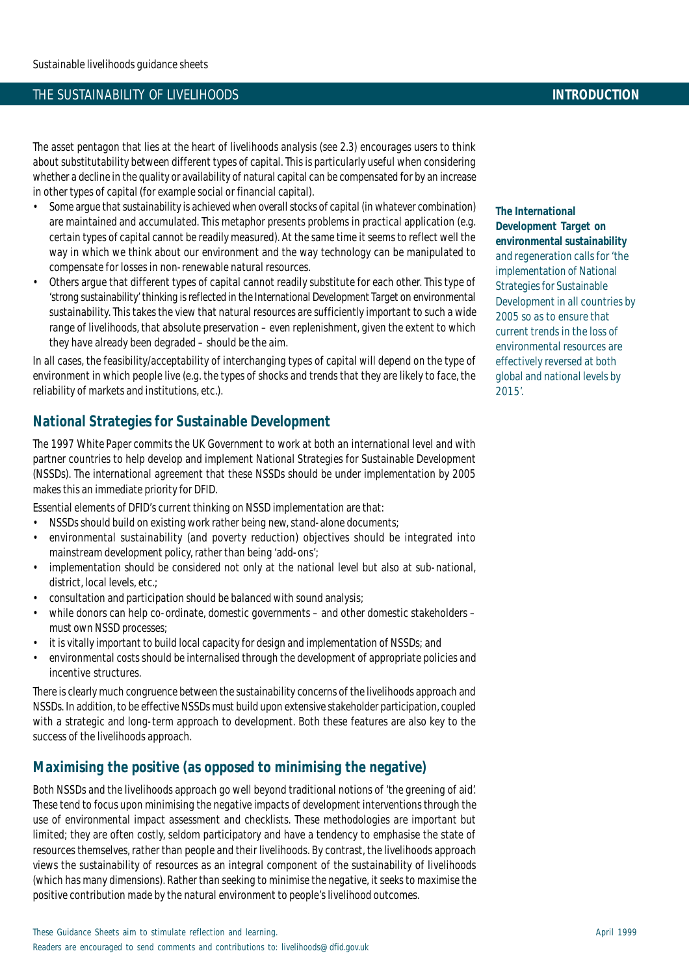#### THE SUSTAINABILITY OF LIVELIHOODS **INTRODUCTION**

The asset pentagon that lies at the heart of livelihoods analysis (see 2.3) encourages users to think about substitutability between different types of capital. This is particularly useful when considering whether a decline in the quality or availability of natural capital can be compensated for by an increase in other types of capital (for example social or financial capital).

- Some argue that sustainability is achieved when overall stocks of capital (in whatever combination) are maintained and accumulated. This metaphor presents problems in practical application (e.g. certain types of capital cannot be readily measured). At the same time it seems to reflect well the way in which we think about our environment and the way technology can be manipulated to compensate for losses in non-renewable natural resources.
- Others argue that different types of capital cannot readily substitute for each other. This type of 'strong sustainability' thinking is reflected in the International Development Target on environmental sustainability. This takes the view that natural resources are sufficiently important to such a wide range of livelihoods, that absolute preservation – even replenishment, given the extent to which they have already been degraded – should be the aim.

In all cases, the feasibility/acceptability of interchanging types of capital will depend on the type of environment in which people live (e.g. the types of shocks and trends that they are likely to face, the reliability of markets and institutions, etc.).

# **National Strategies for Sustainable Development**

The 1997 *White Paper* commits the UK Government to work at both an international level and with partner countries to help develop and implement National Strategies for Sustainable Development (NSSDs). The international agreement that these NSSDs should be under implementation by 2005 makes this an immediate priority for DFID.

Essential elements of DFID's current thinking on NSSD implementation are that:

- NSSDs should build on existing work rather being new, stand-alone documents;
- environmental sustainability (and poverty reduction) objectives should be integrated into mainstream development policy, rather than being 'add-ons';
- implementation should be considered not only at the national level but also at sub-national, district, local levels, etc.;
- consultation and participation should be balanced with sound analysis;
- while donors can help co-ordinate, domestic governments and other domestic stakeholders must own NSSD processes;
- it is vitally important to build local capacity for design and implementation of NSSDs; and
- environmental costs should be internalised through the development of appropriate policies and incentive structures.

There is clearly much congruence between the sustainability concerns of the livelihoods approach and NSSDs. In addition, to be effective NSSDs must build upon extensive stakeholder participation, coupled with a strategic and long-term approach to development. Both these features are also key to the success of the livelihoods approach.

# **Maximising the positive (as opposed to minimising the negative)**

Both NSSDs and the livelihoods approach go well beyond traditional notions of 'the greening of aid'. These tend to focus upon minimising the negative impacts of development interventions through the use of environmental impact assessment and checklists. These methodologies are important but limited; they are often costly, seldom participatory and have a tendency to emphasise the state of resources themselves, rather than people and their livelihoods. By contrast, the livelihoods approach views the sustainability of resources as an integral component of the sustainability of livelihoods (which has many dimensions). Rather than seeking to minimise the negative, it seeks to maximise the positive contribution made by the natural environment to people's livelihood outcomes.

**The International Development Target on environmental sustainability** and regeneration calls for 'the implementation of National Strategies for Sustainable Development in all countries by 2005 so as to ensure that current trends in the loss of environmental resources are effectively reversed at both global and national levels by 2015'.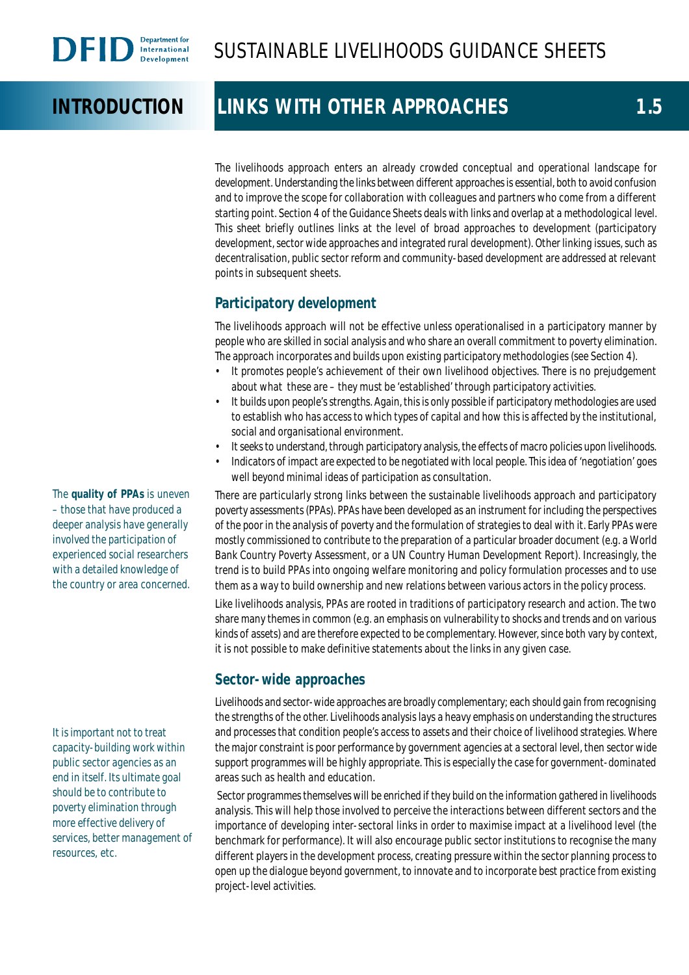# **INTRODUCTION LINKS WITH OTHER APPROACHES** 1.5

The livelihoods approach enters an already crowded conceptual and operational landscape for development. Understanding the links between different approaches is essential, both to avoid confusion and to improve the scope for collaboration with colleagues and partners who come from a different starting point. Section 4 of the Guidance Sheets deals with links and overlap at a methodological level. This sheet briefly outlines links at the level of broad approaches to development (participatory development, sector wide approaches and integrated rural development). Other linking issues, such as decentralisation, public sector reform and community-based development are addressed at relevant points in subsequent sheets.

# **Participatory development**

The livelihoods approach will not be effective unless operationalised in a participatory manner by people who are skilled in social analysis and who share an overall commitment to poverty elimination. The approach incorporates and builds upon existing participatory methodologies (see Section 4).

- It promotes people's achievement of their own livelihood objectives. There is no prejudgement about what these are – they must be 'established' through participatory activities.
- It builds upon people's strengths. Again, this is only possible if participatory methodologies are used to establish who has access to which types of capital and how this is affected by the institutional, social and organisational environment.
- It seeks to understand, through participatory analysis, the effects of macro policies upon livelihoods.
- Indicators of impact are expected to be negotiated with local people. This idea of 'negotiation' goes well beyond minimal ideas of participation as consultation.

There are particularly strong links between the sustainable livelihoods approach and participatory poverty assessments (PPAs). PPAs have been developed as an instrument for including the perspectives of the poor in the analysis of poverty and the formulation of strategies to deal with it. Early PPAs were mostly commissioned to contribute to the preparation of a particular broader document (e.g. a World Bank Country Poverty Assessment, or a UN Country Human Development Report). Increasingly, the trend is to build PPAs into ongoing welfare monitoring and policy formulation processes and to use them as a way to build ownership and new relations between various actors in the policy process.

Like livelihoods analysis, PPAs are rooted in traditions of participatory research and action. The two share many themes in common (e.g. an emphasis on vulnerability to shocks and trends and on various kinds of assets) and are therefore expected to be complementary. However, since both vary by context, it is not possible to make definitive statements about the links in any given case.

# **Sector-wide approaches**

Livelihoods and sector-wide approaches are broadly complementary; each should gain from recognising the strengths of the other. Livelihoods analysis lays a heavy emphasis on understanding the structures and processes that condition people's access to assets and their choice of livelihood strategies. Where the major constraint is poor performance by government agencies at a sectoral level, then sector wide support programmes will be highly appropriate. This is especially the case for government-dominated areas such as health and education.

 Sector programmes themselves will be enriched if they build on the information gathered in livelihoods analysis. This will help those involved to perceive the interactions between different sectors and the importance of developing inter-sectoral links in order to maximise impact at a livelihood level (the benchmark for performance). It will also encourage public sector institutions to recognise the many different players in the development process, creating pressure within the sector planning process to open up the dialogue beyond government, to innovate and to incorporate best practice from existing project-level activities.

The **quality of PPAs** is uneven – those that have produced a deeper analysis have generally involved the participation of experienced social researchers with a detailed knowledge of the country or area concerned.

It is important not to treat capacity-building work within public sector agencies as an end in itself. Its ultimate goal should be to contribute to poverty elimination through more effective delivery of services, better management of resources, etc.